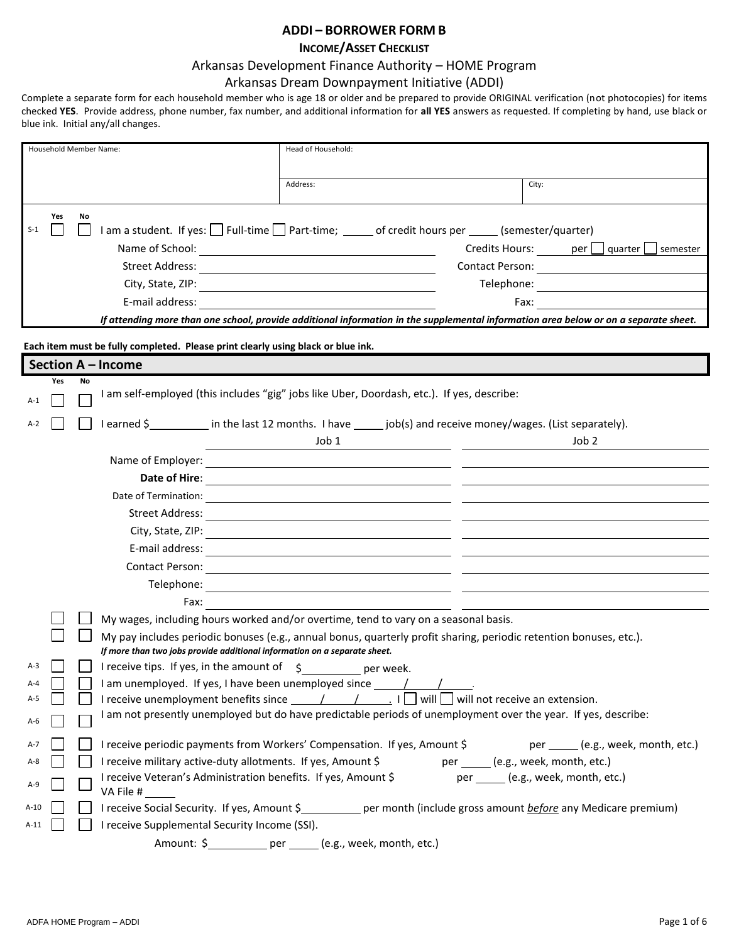## **ADDI – BORROWER FORM B**

### **INCOME/ASSET CHECKLIST**

#### Arkansas Development Finance Authority – HOME Program

#### Arkansas Dream Downpayment Initiative (ADDI)

Complete a separate form for each household member who is age 18 or older and be prepared to provide ORIGINAL verification (not photocopies) for items checked **YES**. Provide address, phone number, fax number, and additional information for **all YES** answers as requested. If completing by hand, use black or blue ink. Initial any/all changes.

| Household Member Name:                                                                                                     | Head of Household:                                                                                                                                                                                                                                                                                                                                                                                |  |  |
|----------------------------------------------------------------------------------------------------------------------------|---------------------------------------------------------------------------------------------------------------------------------------------------------------------------------------------------------------------------------------------------------------------------------------------------------------------------------------------------------------------------------------------------|--|--|
|                                                                                                                            | Address:<br>City:                                                                                                                                                                                                                                                                                                                                                                                 |  |  |
| Yes<br>No<br>$S-1$<br>E-mail address:                                                                                      | I am a student. If yes: Full-time Part-time; _____ of credit hours per _____ (semester/quarter)<br>$C$ redits Hours: $per \ \Box$ quarter $\Box$<br>semester<br>If attending more than one school, provide additional information in the supplemental information area below or on a separate sheet.                                                                                              |  |  |
| Each item must be fully completed. Please print clearly using black or blue ink.                                           |                                                                                                                                                                                                                                                                                                                                                                                                   |  |  |
| Section A - Income                                                                                                         |                                                                                                                                                                                                                                                                                                                                                                                                   |  |  |
| <b>No</b><br>Yes                                                                                                           | I am self-employed (this includes "gig" jobs like Uber, Doordash, etc.). If yes, describe:                                                                                                                                                                                                                                                                                                        |  |  |
| $A-1$                                                                                                                      |                                                                                                                                                                                                                                                                                                                                                                                                   |  |  |
| I earned \$_____________ in the last 12 months. I have _______ job(s) and receive money/wages. (List separately).<br>$A-2$ |                                                                                                                                                                                                                                                                                                                                                                                                   |  |  |
|                                                                                                                            | Job 1<br>Job 2                                                                                                                                                                                                                                                                                                                                                                                    |  |  |
|                                                                                                                            | Name of Employer: Name of Employer:                                                                                                                                                                                                                                                                                                                                                               |  |  |
|                                                                                                                            |                                                                                                                                                                                                                                                                                                                                                                                                   |  |  |
|                                                                                                                            |                                                                                                                                                                                                                                                                                                                                                                                                   |  |  |
|                                                                                                                            |                                                                                                                                                                                                                                                                                                                                                                                                   |  |  |
|                                                                                                                            |                                                                                                                                                                                                                                                                                                                                                                                                   |  |  |
|                                                                                                                            |                                                                                                                                                                                                                                                                                                                                                                                                   |  |  |
|                                                                                                                            |                                                                                                                                                                                                                                                                                                                                                                                                   |  |  |
| Fax:                                                                                                                       |                                                                                                                                                                                                                                                                                                                                                                                                   |  |  |
|                                                                                                                            | My wages, including hours worked and/or overtime, tend to vary on a seasonal basis.                                                                                                                                                                                                                                                                                                               |  |  |
|                                                                                                                            | My pay includes periodic bonuses (e.g., annual bonus, quarterly profit sharing, periodic retention bonuses, etc.).                                                                                                                                                                                                                                                                                |  |  |
| If more than two jobs provide additional information on a separate sheet.                                                  |                                                                                                                                                                                                                                                                                                                                                                                                   |  |  |
| I receive tips. If yes, in the amount of s<br>$A-3$                                                                        | per week.                                                                                                                                                                                                                                                                                                                                                                                         |  |  |
| I am unemployed. If yes, I have been unemployed since _______/<br>A-4<br>$A-5$                                             | I receive unemployment benefits since $\frac{1}{\sqrt{1-\frac{1}{\sqrt{1-\frac{1}{\sqrt{1-\frac{1}{\sqrt{1-\frac{1}{\sqrt{1-\frac{1}{\sqrt{1-\frac{1}{\sqrt{1-\frac{1}{\sqrt{1-\frac{1}{\sqrt{1-\frac{1}{\sqrt{1-\frac{1}{\sqrt{1-\frac{1}{\sqrt{1-\frac{1}{\sqrt{1-\frac{1}{\sqrt{1-\frac{1}{\sqrt{1-\frac{1}{\sqrt{1-\frac{1}{\sqrt{1-\frac{1}{\sqrt{1-\frac{1}{\sqrt{1-\frac{1}{\sqrt{1-\frac$ |  |  |
|                                                                                                                            | I am not presently unemployed but do have predictable periods of unemployment over the year. If yes, describe:                                                                                                                                                                                                                                                                                    |  |  |
| A-6                                                                                                                        |                                                                                                                                                                                                                                                                                                                                                                                                   |  |  |
| A-7                                                                                                                        | per ______ (e.g., week, month, etc.)<br>I receive periodic payments from Workers' Compensation. If yes, Amount \$                                                                                                                                                                                                                                                                                 |  |  |
| I receive military active-duty allotments. If yes, Amount \$<br>A-8                                                        | per ______ (e.g., week, month, etc.)                                                                                                                                                                                                                                                                                                                                                              |  |  |
| I receive Veteran's Administration benefits. If yes, Amount \$<br>A-9<br>VA File #                                         | per ______ (e.g., week, month, etc.)                                                                                                                                                                                                                                                                                                                                                              |  |  |
| $A-10$                                                                                                                     | I receive Social Security. If yes, Amount \$___________ per month (include gross amount before any Medicare premium)                                                                                                                                                                                                                                                                              |  |  |
| I receive Supplemental Security Income (SSI).<br>$A-11$                                                                    |                                                                                                                                                                                                                                                                                                                                                                                                   |  |  |
|                                                                                                                            | Amount: \$ ___________ per ______ (e.g., week, month, etc.)                                                                                                                                                                                                                                                                                                                                       |  |  |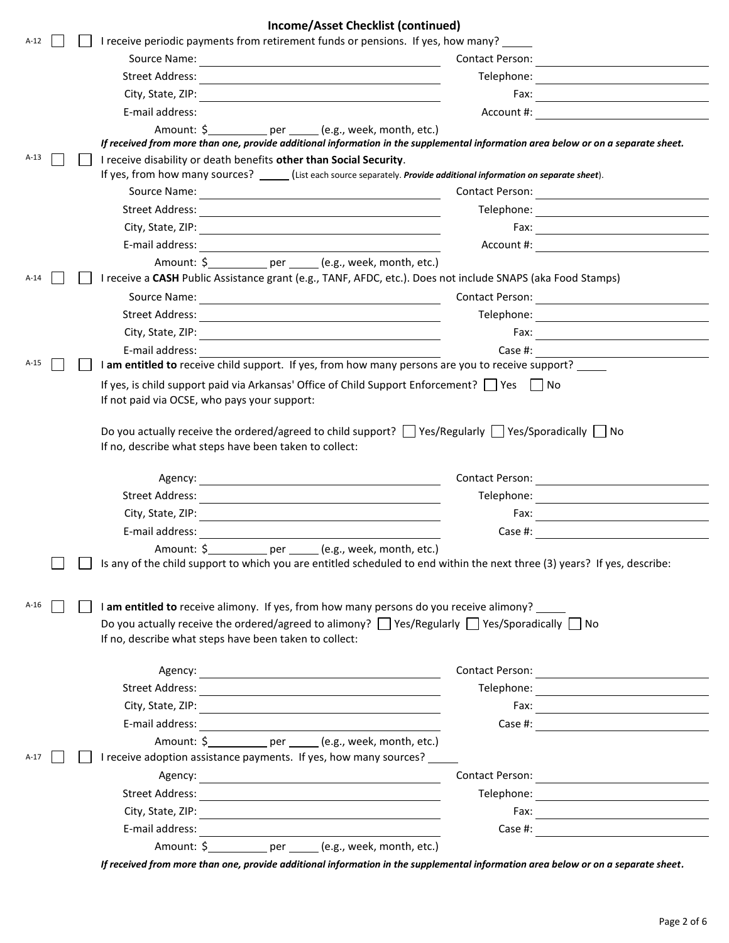| Income/Asset Checklist (continued)                                                                                                                                                                                             |                                                                                                                                          |  |
|--------------------------------------------------------------------------------------------------------------------------------------------------------------------------------------------------------------------------------|------------------------------------------------------------------------------------------------------------------------------------------|--|
| I receive periodic payments from retirement funds or pensions. If yes, how many?<br>$A-12$                                                                                                                                     |                                                                                                                                          |  |
|                                                                                                                                                                                                                                | Contact Person:<br><u> Terminal de la propincia de la propincia de la propincia de la propincia de la propincia de la propincia de l</u> |  |
| Street Address:                                                                                                                                                                                                                | Telephone:                                                                                                                               |  |
|                                                                                                                                                                                                                                |                                                                                                                                          |  |
| E-mail address:                                                                                                                                                                                                                | Account #:<br><u> 1980 - Jan Samuel Barbara, martin di</u>                                                                               |  |
|                                                                                                                                                                                                                                |                                                                                                                                          |  |
| If received from more than one, provide additional information in the supplemental information area below or on a separate sheet.                                                                                              |                                                                                                                                          |  |
| $A-13$<br>I receive disability or death benefits other than Social Security.<br>If yes, from how many sources? ______ (List each source separately. Provide additional information on separate sheet).                         |                                                                                                                                          |  |
|                                                                                                                                                                                                                                |                                                                                                                                          |  |
|                                                                                                                                                                                                                                |                                                                                                                                          |  |
|                                                                                                                                                                                                                                |                                                                                                                                          |  |
|                                                                                                                                                                                                                                |                                                                                                                                          |  |
|                                                                                                                                                                                                                                |                                                                                                                                          |  |
| I receive a CASH Public Assistance grant (e.g., TANF, AFDC, etc.). Does not include SNAPS (aka Food Stamps)<br>$A-14$                                                                                                          |                                                                                                                                          |  |
|                                                                                                                                                                                                                                |                                                                                                                                          |  |
|                                                                                                                                                                                                                                |                                                                                                                                          |  |
|                                                                                                                                                                                                                                |                                                                                                                                          |  |
| E-mail address: The Contract of Technical Contract of Technical Contract of Technical Contract of Technical Contract of Technical Contract of Technical Contract of Technical Contract of Technical Contract of Technical Cont |                                                                                                                                          |  |
| I am entitled to receive child support. If yes, from how many persons are you to receive support?<br>$A-15$                                                                                                                    | Case #: <u>_____________________</u>                                                                                                     |  |
| If yes, is child support paid via Arkansas' Office of Child Support Enforcement? $\Box$ Yes $\Box$ No                                                                                                                          |                                                                                                                                          |  |
| Do you actually receive the ordered/agreed to child support? $\Box$ Yes/Regularly $\Box$ Yes/Sporadically $\Box$ No<br>If no, describe what steps have been taken to collect:                                                  |                                                                                                                                          |  |
|                                                                                                                                                                                                                                |                                                                                                                                          |  |
|                                                                                                                                                                                                                                | Contact Person:                                                                                                                          |  |
| Street Address: <u>Alexander Address</u>                                                                                                                                                                                       | Telephone: <u>_______________________</u>                                                                                                |  |
| E-mail address:                                                                                                                                                                                                                | Case #:                                                                                                                                  |  |
|                                                                                                                                                                                                                                |                                                                                                                                          |  |
| Amount: \$<br>(e.g., week, month, etc.)<br>per_<br>Is any of the child support to which you are entitled scheduled to end within the next three (3) years? If yes, describe:                                                   |                                                                                                                                          |  |
|                                                                                                                                                                                                                                |                                                                                                                                          |  |
|                                                                                                                                                                                                                                |                                                                                                                                          |  |
| $A-16$<br>I am entitled to receive alimony. If yes, from how many persons do you receive alimony?                                                                                                                              |                                                                                                                                          |  |
| Do you actually receive the ordered/agreed to alimony? $\Box$ Yes/Regularly $\Box$ Yes/Sporadically $\Box$ No<br>If no, describe what steps have been taken to collect:                                                        |                                                                                                                                          |  |
|                                                                                                                                                                                                                                |                                                                                                                                          |  |
|                                                                                                                                                                                                                                |                                                                                                                                          |  |
|                                                                                                                                                                                                                                |                                                                                                                                          |  |
|                                                                                                                                                                                                                                |                                                                                                                                          |  |
|                                                                                                                                                                                                                                |                                                                                                                                          |  |
|                                                                                                                                                                                                                                |                                                                                                                                          |  |
|                                                                                                                                                                                                                                | Case #: $\qquad \qquad$                                                                                                                  |  |
| I receive adoption assistance payments. If yes, how many sources?<br>$A-17$                                                                                                                                                    |                                                                                                                                          |  |
|                                                                                                                                                                                                                                |                                                                                                                                          |  |
|                                                                                                                                                                                                                                |                                                                                                                                          |  |
|                                                                                                                                                                                                                                |                                                                                                                                          |  |
|                                                                                                                                                                                                                                | Case #: <u>_____________________</u>                                                                                                     |  |

*If received from more than one, provide additional information in the supplemental information area below or on a separate sheet.*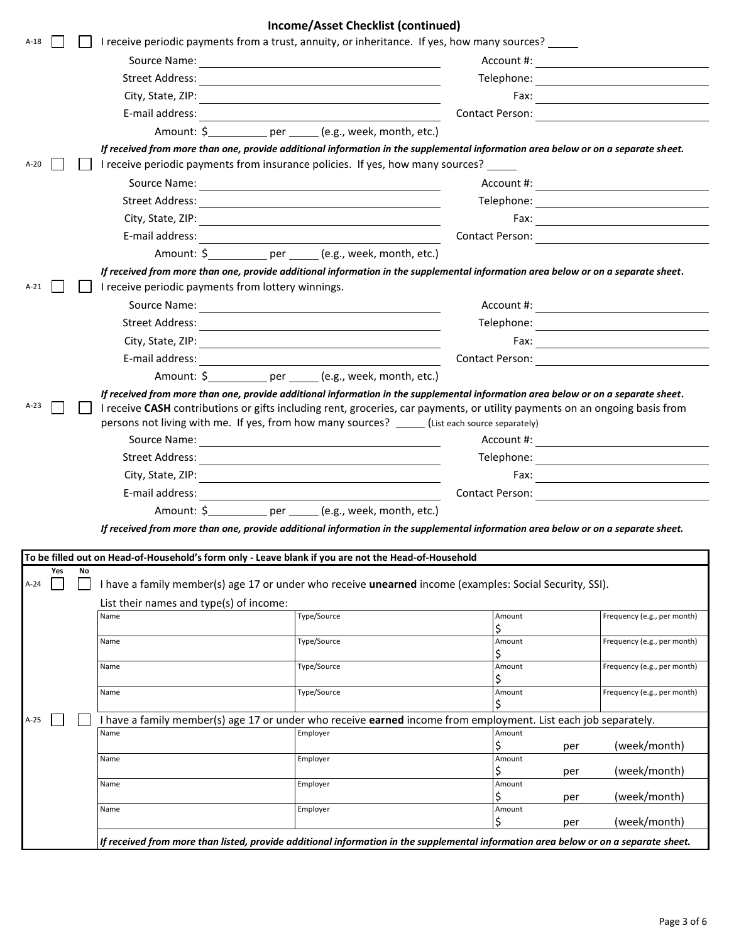| Income/Asset Checklist (continued)                                                                                                                                                                                                                                                                                                                                        |                                                                                                                                      |                                                           |              |                                                  |
|---------------------------------------------------------------------------------------------------------------------------------------------------------------------------------------------------------------------------------------------------------------------------------------------------------------------------------------------------------------------------|--------------------------------------------------------------------------------------------------------------------------------------|-----------------------------------------------------------|--------------|--------------------------------------------------|
| $A-18$                                                                                                                                                                                                                                                                                                                                                                    | I receive periodic payments from a trust, annuity, or inheritance. If yes, how many sources?                                         |                                                           |              |                                                  |
|                                                                                                                                                                                                                                                                                                                                                                           |                                                                                                                                      |                                                           |              |                                                  |
|                                                                                                                                                                                                                                                                                                                                                                           |                                                                                                                                      |                                                           |              |                                                  |
|                                                                                                                                                                                                                                                                                                                                                                           |                                                                                                                                      |                                                           |              |                                                  |
|                                                                                                                                                                                                                                                                                                                                                                           |                                                                                                                                      |                                                           |              |                                                  |
|                                                                                                                                                                                                                                                                                                                                                                           |                                                                                                                                      | Amount: \$ _________ per _____ (e.g., week, month, etc.)  |              |                                                  |
|                                                                                                                                                                                                                                                                                                                                                                           | If received from more than one, provide additional information in the supplemental information area below or on a separate sheet.    |                                                           |              |                                                  |
| $A-20$                                                                                                                                                                                                                                                                                                                                                                    | I receive periodic payments from insurance policies. If yes, how many sources? _____                                                 |                                                           |              |                                                  |
|                                                                                                                                                                                                                                                                                                                                                                           | Source Name:                                                                                                                         | <u> 1989 - Jan Samuel Barbara, margaret e</u>             | Account #:   | <u> 1986 - John Stein, Amerikaansk kanton (</u>  |
|                                                                                                                                                                                                                                                                                                                                                                           |                                                                                                                                      |                                                           |              |                                                  |
|                                                                                                                                                                                                                                                                                                                                                                           |                                                                                                                                      |                                                           |              |                                                  |
|                                                                                                                                                                                                                                                                                                                                                                           |                                                                                                                                      |                                                           |              |                                                  |
|                                                                                                                                                                                                                                                                                                                                                                           |                                                                                                                                      | Amount: \$ __________ per _____ (e.g., week, month, etc.) |              |                                                  |
|                                                                                                                                                                                                                                                                                                                                                                           | If received from more than one, provide additional information in the supplemental information area below or on a separate sheet.    |                                                           |              |                                                  |
| $A-21$                                                                                                                                                                                                                                                                                                                                                                    | I receive periodic payments from lottery winnings.                                                                                   |                                                           |              |                                                  |
|                                                                                                                                                                                                                                                                                                                                                                           |                                                                                                                                      |                                                           |              |                                                  |
|                                                                                                                                                                                                                                                                                                                                                                           |                                                                                                                                      |                                                           |              |                                                  |
|                                                                                                                                                                                                                                                                                                                                                                           | City, State, ZIP:                                                                                                                    |                                                           |              |                                                  |
|                                                                                                                                                                                                                                                                                                                                                                           |                                                                                                                                      |                                                           |              | Contact Person: <u>_________________________</u> |
|                                                                                                                                                                                                                                                                                                                                                                           |                                                                                                                                      |                                                           |              |                                                  |
| If received from more than one, provide additional information in the supplemental information area below or on a separate sheet.<br>A-23<br>I receive CASH contributions or gifts including rent, groceries, car payments, or utility payments on an ongoing basis from<br>persons not living with me. If yes, from how many sources? _____(List each source separately) |                                                                                                                                      |                                                           |              |                                                  |
|                                                                                                                                                                                                                                                                                                                                                                           | Account #:<br><u> 1989 - Johann Stoff, deutscher Stoffen und der Stoffen und der Stoffen und der Stoffen und der Stoffen und der</u> |                                                           |              |                                                  |
|                                                                                                                                                                                                                                                                                                                                                                           |                                                                                                                                      |                                                           |              |                                                  |
|                                                                                                                                                                                                                                                                                                                                                                           |                                                                                                                                      |                                                           |              |                                                  |
|                                                                                                                                                                                                                                                                                                                                                                           |                                                                                                                                      |                                                           |              | Contact Person:                                  |
|                                                                                                                                                                                                                                                                                                                                                                           |                                                                                                                                      |                                                           |              |                                                  |
|                                                                                                                                                                                                                                                                                                                                                                           | If received from more than one, provide additional information in the supplemental information area below or on a separate sheet.    |                                                           |              |                                                  |
|                                                                                                                                                                                                                                                                                                                                                                           | To be filled out on Head-of-Household's form only - Leave blank if you are not the Head-of-Household                                 |                                                           |              |                                                  |
| Yes<br>No                                                                                                                                                                                                                                                                                                                                                                 |                                                                                                                                      |                                                           |              |                                                  |
| $A-24$                                                                                                                                                                                                                                                                                                                                                                    | I have a family member(s) age 17 or under who receive unearned income (examples: Social Security, SSI).                              |                                                           |              |                                                  |
|                                                                                                                                                                                                                                                                                                                                                                           | List their names and type(s) of income:                                                                                              |                                                           |              |                                                  |
|                                                                                                                                                                                                                                                                                                                                                                           | Name                                                                                                                                 | Type/Source                                               | Amount<br>\$ | Frequency (e.g., per month)                      |
|                                                                                                                                                                                                                                                                                                                                                                           | Name                                                                                                                                 | Type/Source                                               | Amount       | Frequency (e.g., per month)                      |
|                                                                                                                                                                                                                                                                                                                                                                           |                                                                                                                                      | Type/Source                                               | \$<br>Amount | Frequency (e.g., per month)                      |
|                                                                                                                                                                                                                                                                                                                                                                           | Name                                                                                                                                 |                                                           | \$           |                                                  |
|                                                                                                                                                                                                                                                                                                                                                                           | Name                                                                                                                                 | Type/Source                                               | Amount       | Frequency (e.g., per month)                      |
| $A-25$                                                                                                                                                                                                                                                                                                                                                                    | I have a family member(s) age 17 or under who receive earned income from employment. List each job separately.                       |                                                           |              |                                                  |
|                                                                                                                                                                                                                                                                                                                                                                           | Name                                                                                                                                 | Employer                                                  | Amount<br>\$ |                                                  |
|                                                                                                                                                                                                                                                                                                                                                                           | Name                                                                                                                                 | Employer                                                  | Amount       | (week/month)<br>per                              |
|                                                                                                                                                                                                                                                                                                                                                                           |                                                                                                                                      |                                                           | \$           | (week/month)<br>per                              |
|                                                                                                                                                                                                                                                                                                                                                                           | Name                                                                                                                                 | Employer                                                  | Amount<br>Ś  | (week/month)<br>per                              |
|                                                                                                                                                                                                                                                                                                                                                                           | Name                                                                                                                                 | Employer                                                  | Amount       |                                                  |
|                                                                                                                                                                                                                                                                                                                                                                           |                                                                                                                                      |                                                           | \$           | (week/month)<br>per                              |
|                                                                                                                                                                                                                                                                                                                                                                           | If received from more than listed, provide additional information in the supplemental information area below or on a separate sheet. |                                                           |              |                                                  |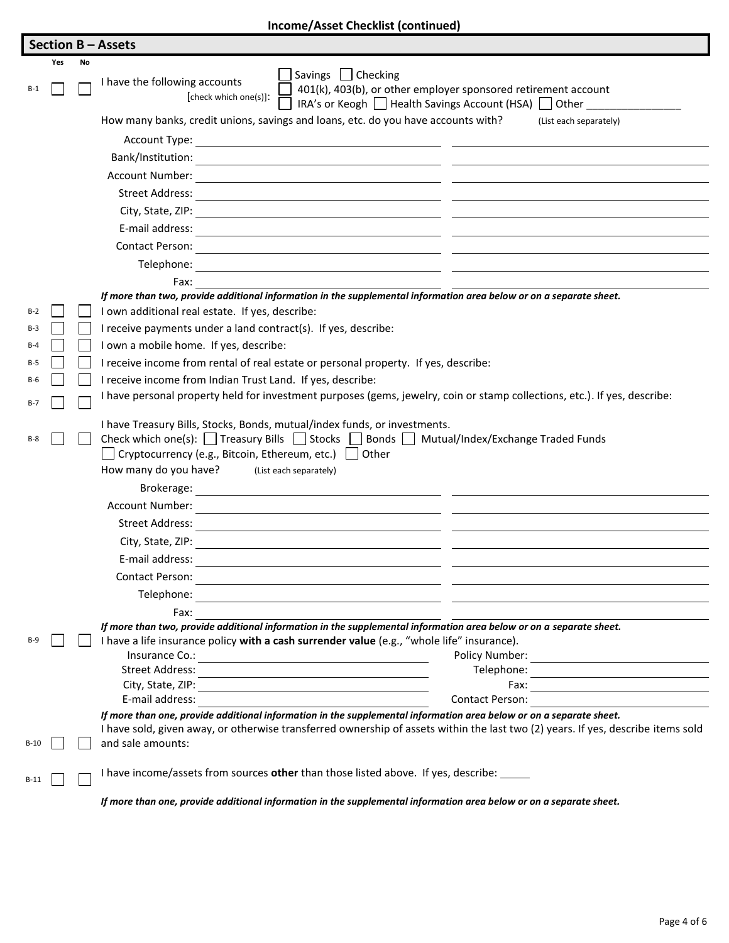| Income/Asset Checklist (continued) |  |
|------------------------------------|--|
|------------------------------------|--|

|       |     |    | <b>Section B-Assets</b>                                                                                                                                                                                                                                                                                           |  |  |
|-------|-----|----|-------------------------------------------------------------------------------------------------------------------------------------------------------------------------------------------------------------------------------------------------------------------------------------------------------------------|--|--|
|       | Yes | No |                                                                                                                                                                                                                                                                                                                   |  |  |
| $B-1$ |     |    | Savings Checking<br>I have the following accounts<br>401(k), 403(b), or other employer sponsored retirement account<br>[check which one(s)]:<br>IRA's or Keogh   Health Savings Account (HSA)   Other                                                                                                             |  |  |
|       |     |    | How many banks, credit unions, savings and loans, etc. do you have accounts with?<br>(List each separately)                                                                                                                                                                                                       |  |  |
|       |     |    |                                                                                                                                                                                                                                                                                                                   |  |  |
|       |     |    |                                                                                                                                                                                                                                                                                                                   |  |  |
|       |     |    | Account Number:<br><u> 1980 - Jan Samuel Barbara, margaret e populari e populari e populari e populari e populari e populari e popu</u>                                                                                                                                                                           |  |  |
|       |     |    | Street Address:<br><u> 1989 - Jan Samuel Barbara, martin da shekara ta 1989 - An tsara tsara tsara tsara tsara tsara tsara tsara tsa</u>                                                                                                                                                                          |  |  |
|       |     |    |                                                                                                                                                                                                                                                                                                                   |  |  |
|       |     |    | E-mail address:<br><u> 1989 - Johann Stein, mars an deutscher Stein († 1989)</u>                                                                                                                                                                                                                                  |  |  |
|       |     |    | <b>Contact Person:</b>                                                                                                                                                                                                                                                                                            |  |  |
|       |     |    | Telephone:<br><u> 1989 - Johann Stoff, deutscher Stoff, der Stoff, der Stoff, der Stoff, der Stoff, der Stoff, der Stoff, der S</u>                                                                                                                                                                               |  |  |
|       |     |    | Fax:                                                                                                                                                                                                                                                                                                              |  |  |
|       |     |    | If more than two, provide additional information in the supplemental information area below or on a separate sheet.                                                                                                                                                                                               |  |  |
| $B-2$ |     |    | I own additional real estate. If yes, describe:                                                                                                                                                                                                                                                                   |  |  |
| $B-3$ |     |    | I receive payments under a land contract(s). If yes, describe:                                                                                                                                                                                                                                                    |  |  |
| $B-4$ |     |    | I own a mobile home. If yes, describe:                                                                                                                                                                                                                                                                            |  |  |
| $B-5$ |     |    | I receive income from rental of real estate or personal property. If yes, describe:                                                                                                                                                                                                                               |  |  |
| B-6   |     |    | I receive income from Indian Trust Land. If yes, describe:                                                                                                                                                                                                                                                        |  |  |
| $B-7$ |     |    | I have personal property held for investment purposes (gems, jewelry, coin or stamp collections, etc.). If yes, describe:                                                                                                                                                                                         |  |  |
| $B-8$ |     |    | I have Treasury Bills, Stocks, Bonds, mutual/index funds, or investments.<br>Check which one(s): $\Box$ Treasury Bills $\Box$ Stocks $\Box$ Bonds $\Box$ Mutual/Index/Exchange Traded Funds<br>$\Box$ Cryptocurrency (e.g., Bitcoin, Ethereum, etc.) $\Box$ Other<br>How many do you have? (List each separately) |  |  |
|       |     |    | Brokerage:                                                                                                                                                                                                                                                                                                        |  |  |
|       |     |    | <u> 1989 - Andrea Andrew Maria (h. 1989).</u><br>Account Number:                                                                                                                                                                                                                                                  |  |  |
|       |     |    | <u> 1989 - Johann Stein, marking ar yn y brening yn y brening yn y brening yn y brening y brening yn y brening y</u><br>Street Address:                                                                                                                                                                           |  |  |
|       |     |    | City, State, ZIP:                                                                                                                                                                                                                                                                                                 |  |  |
|       |     |    | E-mail address:                                                                                                                                                                                                                                                                                                   |  |  |
|       |     |    | Contact Person:                                                                                                                                                                                                                                                                                                   |  |  |
|       |     |    | <u> 1989 - Johann Barbara, martxa alemaniar amerikan personal (h. 1989).</u><br>Telephone:                                                                                                                                                                                                                        |  |  |
|       |     |    | <u> 1989 - John Stein, september 1989 - John Stein, september 1989 - John Stein, september 1989 - John Stein, sep</u><br>Fax:                                                                                                                                                                                     |  |  |
|       |     |    | If more than two, provide additional information in the supplemental information area below or on a separate sheet.                                                                                                                                                                                               |  |  |
|       |     |    | I have a life insurance policy with a cash surrender value (e.g., "whole life" insurance).                                                                                                                                                                                                                        |  |  |
|       |     |    | Insurance Co.:<br><u> 1980 - Johann Barn, mars an t-Amerikaansk ferskeizh (</u>                                                                                                                                                                                                                                   |  |  |
|       |     |    | <b>Street Address:</b>                                                                                                                                                                                                                                                                                            |  |  |
|       |     |    | City, State, ZIP:<br>Fax:<br>E-mail address:<br>Contact Person:                                                                                                                                                                                                                                                   |  |  |
|       |     |    | If more than one, provide additional information in the supplemental information area below or on a separate sheet.                                                                                                                                                                                               |  |  |
|       |     |    | I have sold, given away, or otherwise transferred ownership of assets within the last two (2) years. If yes, describe items sold                                                                                                                                                                                  |  |  |
| B-10  |     |    | and sale amounts:                                                                                                                                                                                                                                                                                                 |  |  |
|       |     |    | I have income/assets from sources other than those listed above. If yes, describe: _____                                                                                                                                                                                                                          |  |  |

*If more than one, provide additional information in the supplemental information area below or on a separate sheet.*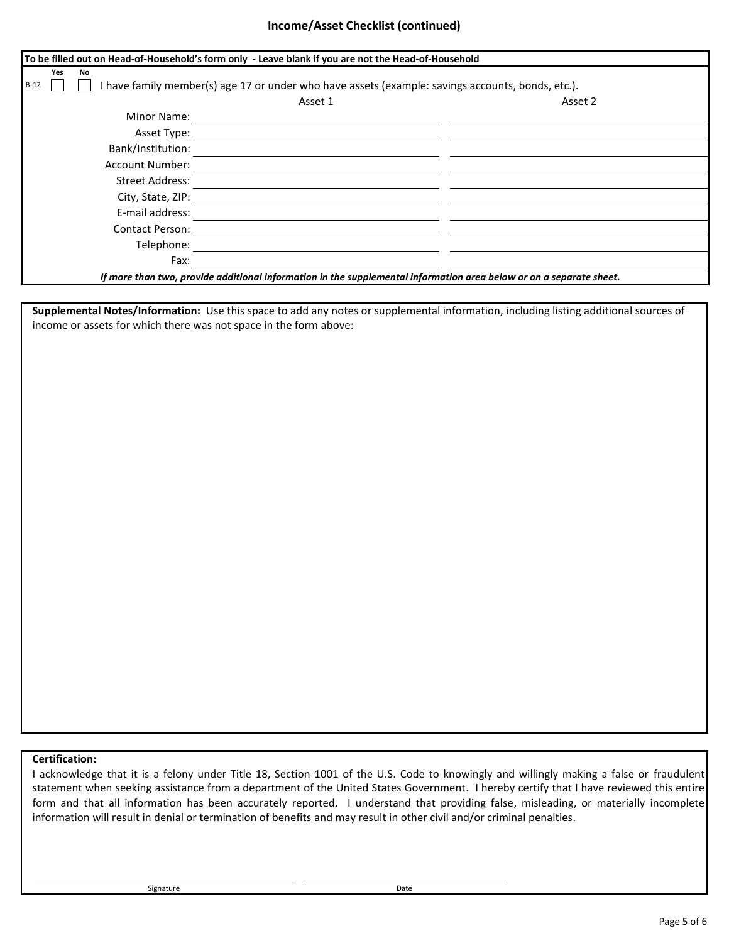#### **Income/Asset Checklist (continued)**

| To be filled out on Head-of-Household's form only - Leave blank if you are not the Head-of-Household                |                                                                                                   |  |  |  |
|---------------------------------------------------------------------------------------------------------------------|---------------------------------------------------------------------------------------------------|--|--|--|
| Yes<br>No<br>$B-12$                                                                                                 | I have family member(s) age 17 or under who have assets (example: savings accounts, bonds, etc.). |  |  |  |
| Asset 1                                                                                                             | Asset 2                                                                                           |  |  |  |
| Minor Name:                                                                                                         |                                                                                                   |  |  |  |
| Asset Type:                                                                                                         |                                                                                                   |  |  |  |
| Bank/Institution:                                                                                                   |                                                                                                   |  |  |  |
| <b>Account Number:</b>                                                                                              |                                                                                                   |  |  |  |
| <b>Street Address:</b>                                                                                              |                                                                                                   |  |  |  |
| City, State, ZIP:                                                                                                   |                                                                                                   |  |  |  |
| E-mail address:                                                                                                     |                                                                                                   |  |  |  |
| <b>Contact Person:</b>                                                                                              |                                                                                                   |  |  |  |
| Telephone:                                                                                                          |                                                                                                   |  |  |  |
| Fax:                                                                                                                |                                                                                                   |  |  |  |
| If more than two, provide additional information in the supplemental information area below or on a separate sheet. |                                                                                                   |  |  |  |

**Supplemental Notes/Information:** Use this space to add any notes or supplemental information, including listing additional sources of income or assets for which there was not space in the form above:

# **Certification:**

I acknowledge that it is a felony under Title 18, Section 1001 of the U.S. Code to knowingly and willingly making a false or fraudulent statement when seeking assistance from a department of the United States Government. I hereby certify that I have reviewed this entire form and that all information has been accurately reported. I understand that providing false, misleading, or materially incomplete information will result in denial or termination of benefits and may result in other civil and/or criminal penalties.